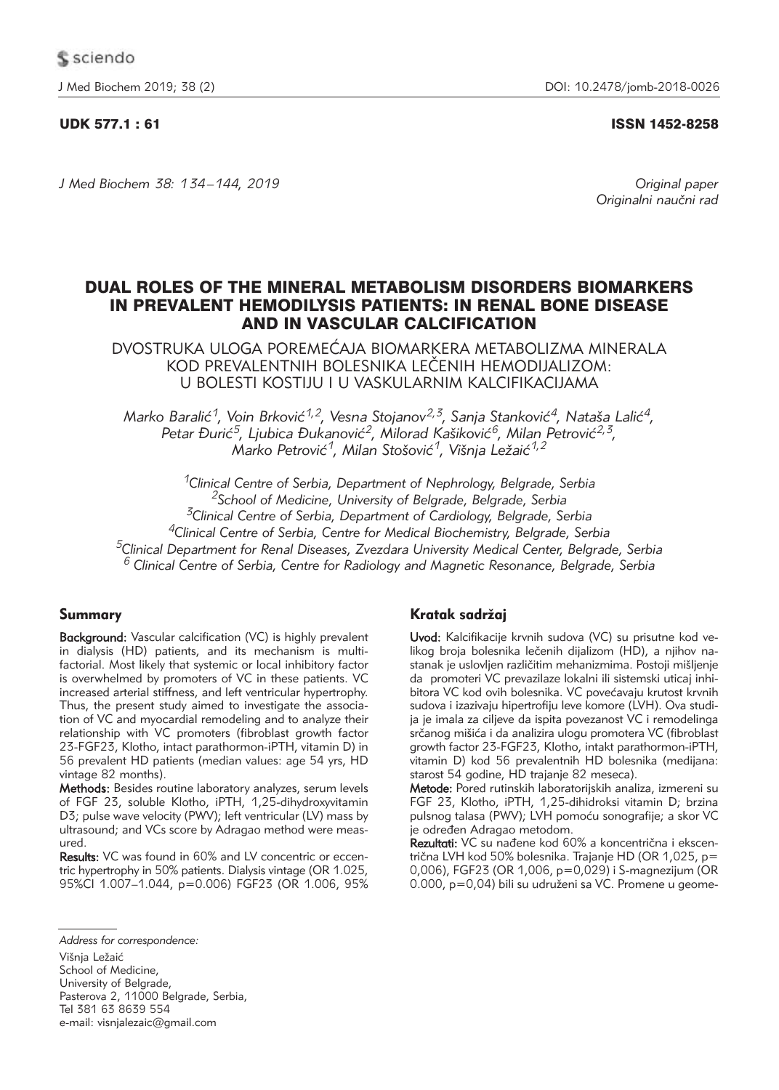UDK 577.1 : 61 ISSN 1452-8258

*J Med Biochem 38: 134 –144, 2019 Original paper*

Originalni naučni rad

# DUAL ROLES OF THE MINERAL METABOLISM DISORDERS BIOMARKERS IN PREVALENT HEMODILYSIS PATIENTS: IN RENAL BONE DISEASE AND IN VASCULAR CALCIFICATION

DVOSTRUKA ULOGA POREMEĆAJA BIOMARKERA METABOLIZMA MINERALA KOD PREVALENTNIH BOLESNIKA LE^ENIH HEMODIJALIZOM: U BOLESTI KOSTIJU I U VASKULARNIM KALCIFIKACIJAMA

*Marko Baralić<sup>1</sup>, Voin Brković<sup>1,2</sup>, Vesna Stojanov<sup>2,3</sup>, Sanja Stanković<sup>4</sup>, Nataša Lalić<sup>4</sup>,* Petar Đurić<sup>5</sup>, Ljubica Đukanović<sup>2</sup>, Milorad Kašiković<sup>6</sup>, Milan Petrović<sup>2,3</sup>, Marko Petrović<sup>1</sup>, Milan Stošović<sup>1</sup>, Višnja Ležaić<sup>1,2</sup>

*1Clinical Centre of Serbia, Department of Nephrology, Belgrade, Serbia 2School of Medicine, University of Belgrade, Belgrade, Serbia 3Clinical Centre of Serbia, Department of Cardiology, Belgrade, Serbia 4Clinical Centre of Serbia, Centre for Medical Biochemistry, Belgrade, Serbia 5Clinical Department for Renal Diseases, Zvezdara University Medical Center, Belgrade, Serbia <sup>6</sup> Clinical Centre of Serbia, Centre for Radiology and Magnetic Resonance, Belgrade, Serbia*

# Summary

Background: Vascular calcification (VC) is highly prevalent in dialysis (HD) patients, and its mechanism is multifactorial. Most likely that systemic or local inhibitory factor is overwhelmed by promoters of VC in these patients. VC increased arterial stiffness, and left ventricular hypertrophy. Thus, the present study aimed to investigate the association of VC and myocardial remodeling and to analyze their relationship with VC promoters (fibroblast growth factor 23-FGF23, Klotho, intact parathormon-iPTH, vitamin D) in 56 prevalent HD patients (median values: age 54 yrs, HD vintage 82 months).

Methods: Besides routine laboratory analyzes, serum levels of FGF 23, soluble Klotho, iPTH, 1,25-dihydroxyvitamin D3; pulse wave velocity (PWV); left ventricular (LV) mass by ultrasound; and VCs score by Adragao method were measured.

Results: VC was found in 60% and LV concentric or eccentric hypertrophy in 50% patients. Dialysis vintage (OR 1.025, 95%CI 1.007–1.044, p=0.006) FGF23 (OR 1.006, 95%

*Address for correspondence:* Višnja Ležaić School of Medicine, University of Belgrade, Pasterova 2, 11000 Belgrade, Serbia, Tel 381 63 8639 554 e-mail: visnialezaic@gmail.com

# Kratak sadržaj

Uvod: Kalcifikacije krvnih sudova (VC) su prisutne kod velikog broja bolesnika lečenih dijalizom (HD), a njihov nastanak je uslovljen različitim mehanizmima. Postoji mišljenje da promoteri VC prevazilaze lokalni ili sistemski uticaj inhibitora VC kod ovih bolesnika. VC povećavaju krutost krvnih sudova i izazivaju hipertrofiju leve komore (LVH). Ova studija je imala za ciljeve da ispita povezanost VC i remodelinga srčanog mišića i da analizira ulogu promotera VC (fibroblast growth factor 23-FGF23, Klotho, intakt parathormon-iPTH, vitamin D) kod 56 prevalentnih HD bolesnika (medijana: starost 54 godine, HD trajanje 82 meseca).

Metode: Pored rutinskih laboratorijskih analiza, izmereni su FGF 23, Klotho, iPTH, 1,25-dihidroksi vitamin D; brzina pulsnog talasa (PWV); LVH pomoću sonografije; a skor VC je određen Adragao metodom.

Rezultati: VC su nađene kod 60% a koncentrična i ekscentrična LVH kod 50% bolesnika. Trajanje HD (OR 1,025, p= 0,006), FGF23 (OR 1,006, p=0,029) i S-magnezijum (OR 0.000, p=0,04) bili su udruženi sa VC. Promene u geome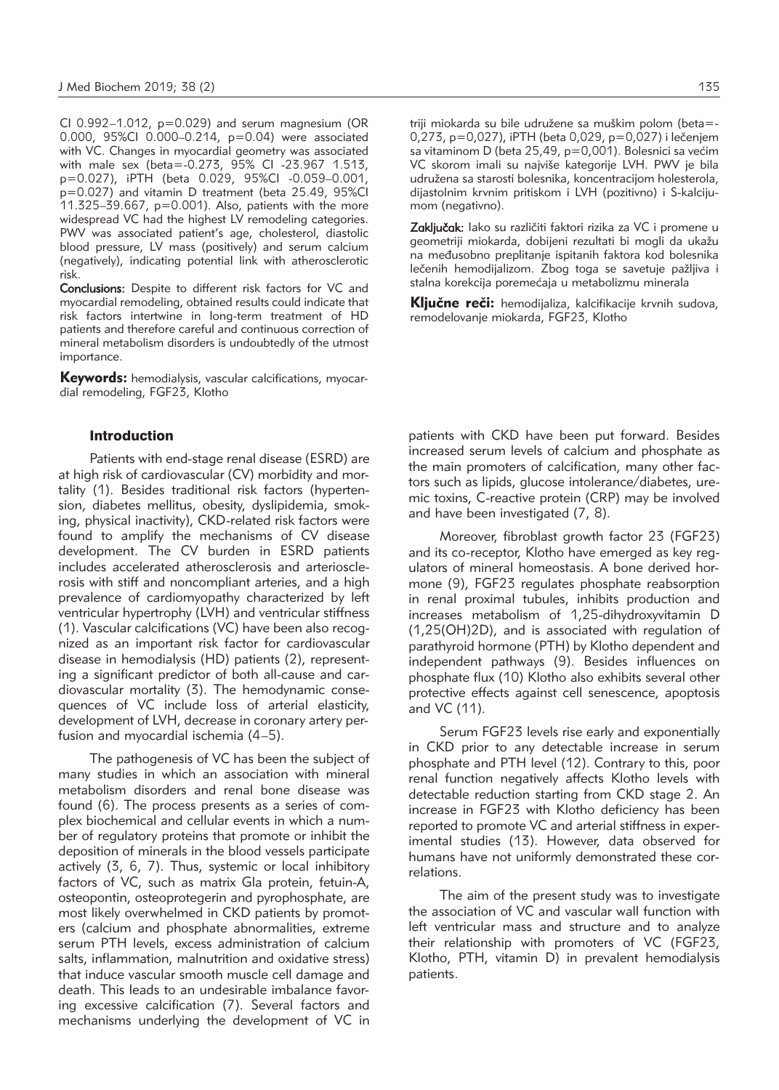CI 0.992–1.012, p=0.029) and serum magnesium (OR 0.000, 95%CI 0.000–0.214, p=0.04) were associated with VC. Changes in myocardial geometry was associated with male sex (beta=-0.273, 95% CI -23.967 1.513, p=0.027), iPTH (beta 0.029, 95%CI -0.059–0.001, p=0.027) and vitamin D treatment (beta 25.49, 95%CI 11.325–39.667, p=0.001). Also, patients with the more widespread VC had the highest LV remodeling categories. PWV was associated patient's age, cholesterol, diastolic blood pressure, LV mass (positively) and serum calcium (negatively), indicating potential link with atherosclerotic risk.

Conclusions: Despite to different risk factors for VC and myocardial remodeling, obtained results could indicate that risk factors intertwine in long-term treatment of HD patients and therefore careful and continuous correction of mineral metabolism disorders is undoubtedly of the utmost importance.

Keywords: hemodialysis, vascular calcifications, myocardial remodeling, FGF23, Klotho

#### Introduction

Patients with end-stage renal disease (ESRD) are at high risk of cardiovascular (CV) morbidity and mortality (1). Besides traditional risk factors (hypertension, diabetes mellitus, obesity, dyslipidemia, smoking, physical inactivity), CKD-related risk factors were found to amplify the mechanisms of CV disease development. The CV burden in ESRD patients includes accelerated atherosclerosis and arteriosclerosis with stiff and noncompliant arteries, and a high prevalence of cardiomyopathy characterized by left ventricular hypertrophy (LVH) and ventricular stiffness (1). Vascular calcifications (VC) have been also recognized as an important risk factor for cardiovascular disease in hemodialysis (HD) patients (2), representing a significant predictor of both all-cause and cardiovascular mortality (3). The hemodynamic consequences of VC include loss of arterial elasticity, development of LVH, decrease in coronary artery perfusion and myocardial ischemia (4–5).

The pathogenesis of VC has been the subject of many studies in which an association with mineral metabolism disorders and renal bone disease was found (6). The process presents as a series of complex biochemical and cellular events in which a number of regulatory proteins that promote or inhibit the deposition of minerals in the blood vessels participate actively (3, 6, 7). Thus, systemic or local inhibitory factors of VC, such as matrix Gla protein, fetuin-A, osteopontin, osteoprotegerin and pyrophosphate, are most likely overwhelmed in CKD patients by promoters (calcium and phosphate abnormalities, extreme serum PTH levels, excess administration of calcium salts, inflammation, malnutrition and oxidative stress) that induce vascular smooth muscle cell damage and death. This leads to an undesirable imbalance favoring excessive calcification (7). Several factors and mechanisms underlying the development of VC in triji miokarda su bile udružene sa muškim polom (beta=- $0,273, p=0,027$ ), iPTH (beta 0,029,  $p=0,027$ ) i lečenjem sa vitaminom D (beta 25,49,  $p=0,001$ ). Bolesnici sa većim VC skorom imali su najviše kategorije LVH. PWV je bila udružena sa starosti bolesnika, koncentracijom holesterola, dijastolnim krvnim pritiskom i LVH (pozitivno) i S-kalcijumom (negativno).

Zaključak: lako su različiti faktori rizika za VC i promene u geometriji miokarda, dobijeni rezultati bi mogli da ukažu na međusobno preplitanje ispitanih faktora kod bolesnika lečenih hemodijalizom. Zbog toga se savetuje pažljiva i stalna korekcija poremećaja u metabolizmu minerala

Ključne reči: hemodijaliza, kalcifikacije krvnih sudova, remodelovanje miokarda, FGF23, Klotho

patients with CKD have been put forward. Besides increased serum levels of calcium and phosphate as the main promoters of calcification, many other factors such as lipids, glucose intolerance/diabetes, uremic toxins, C-reactive protein (CRP) may be involved and have been investigated (7, 8).

Moreover, fibroblast growth factor 23 (FGF23) and its co-receptor, Klotho have emerged as key regulators of mineral homeostasis. A bone derived hormone (9), FGF23 regulates phosphate reabsorption in renal proximal tubules, inhibits production and increases metabolism of 1,25-dihydroxyvitamin D (1,25(OH)2D), and is associated with regulation of parathyroid hormone (PTH) by Klotho dependent and independent pathways (9). Besides influences on phosphate flux (10) Klotho also exhibits several other protective effects against cell senescence, apoptosis and VC (11).

Serum FGF23 levels rise early and exponentially in CKD prior to any detectable increase in serum phosphate and PTH level (12). Contrary to this, poor renal function negatively affects Klotho levels with detectable reduction starting from CKD stage 2. An increase in FGF23 with Klotho deficiency has been reported to promote VC and arterial stiffness in experimental studies (13). However, data observed for humans have not uniformly demonstrated these correlations.

The aim of the present study was to investigate the association of VC and vascular wall function with left ventricular mass and structure and to analyze their relationship with promoters of VC (FGF23, Klotho, PTH, vitamin D) in prevalent hemodialysis patients.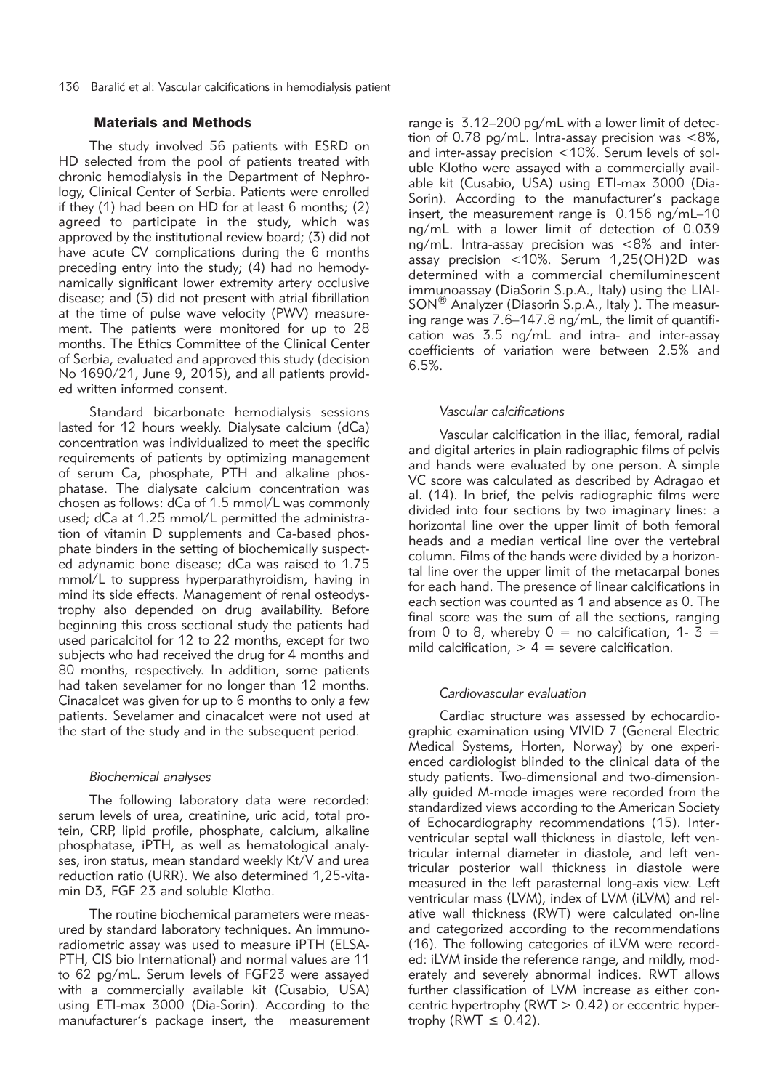## Materials and Methods

The study involved 56 patients with ESRD on HD selected from the pool of patients treated with chronic hemodialysis in the Department of Nephrology, Clinical Center of Serbia. Patients were enrolled if they (1) had been on HD for at least 6 months; (2) agreed to participate in the study, which was approved by the institutional review board; (3) did not have acute CV complications during the 6 months preceding entry into the study; (4) had no hemodynamically significant lower extremity artery occlusive disease; and (5) did not present with atrial fibrillation at the time of pulse wave velocity (PWV) measurement. The patients were monitored for up to 28 months. The Ethics Committee of the Clinical Center of Serbia, evaluated and approved this study (decision No 1690/21, June 9, 2015), and all patients provided written informed consent.

Standard bicarbonate hemodialysis sessions lasted for 12 hours weekly. Dialysate calcium (dCa) concentration was individualized to meet the specific requirements of patients by optimizing management of serum Ca, phosphate, PTH and alkaline phosphatase. The dialysate calcium concentration was chosen as follows: dCa of 1.5 mmol/L was commonly used; dCa at 1.25 mmol/L permitted the administration of vitamin D supplements and Ca-based phosphate binders in the setting of biochemically suspected adynamic bone disease; dCa was raised to 1.75 mmol/L to suppress hyperparathyroidism, having in mind its side effects. Management of renal osteodystrophy also depended on drug availability. Before beginning this cross sectional study the patients had used paricalcitol for 12 to 22 months, except for two subjects who had received the drug for 4 months and 80 months, respectively. In addition, some patients had taken sevelamer for no longer than 12 months. Cinacalcet was given for up to 6 months to only a few patients. Sevelamer and cinacalcet were not used at the start of the study and in the subsequent period.

#### *Biochemical analyses*

The following laboratory data were recorded: serum levels of urea, creatinine, uric acid, total protein, CRP, lipid profile, phosphate, calcium, alkaline phosphatase, iPTH, as well as hematological analyses, iron status, mean standard weekly Kt/V and urea reduction ratio (URR). We also determined 1,25-vitamin D3, FGF 23 and soluble Klotho.

The routine biochemical parameters were measured by standard laboratory techniques. An immunoradiometric assay was used to measure iPTH (ELSA-PTH, CIS bio International) and normal values are 11 to 62 pg/mL. Serum levels of FGF23 were assayed with a commercially available kit (Cusabio, USA) using ETI-max 3000 (Dia-Sorin). According to the manu facturer's package insert, the measurement range is 3.12–200 pg/mL with a lower limit of detection of 0.78 pg/mL. Intra-assay precision was  $<8\%$ , and inter-assay precision <10%. Serum levels of soluble Klotho were assayed with a commercially available kit (Cusabio, USA) using ETI-max 3000 (Dia-Sorin). According to the manufacturer's package insert, the measurement range is 0.156 ng/mL–10 ng/mL with a lower limit of detection of 0.039 ng/mL. Intra-assay precision was <8% and interassay precision <10%. Serum 1,25(OH)2D was determined with a commercial chemiluminescent immunoassay (DiaSorin S.p.A., Italy) using the LIAI-SON<sup>®</sup> Analyzer (Diasorin S.p.A., Italy ). The measuring range was 7.6–147.8 ng/mL, the limit of quantification was 3.5 ng/mL and intra- and inter-assay coefficients of variation were between 2.5% and 6.5%.

## *Vascular calcifications*

Vascular calcification in the iliac, femoral, radial and digital arteries in plain radiographic films of pelvis and hands were evaluated by one person. A simple VC score was calculated as described by Adragao et al. (14). In brief, the pelvis radiographic films were divided into four sections by two imaginary lines: a horizontal line over the upper limit of both femoral heads and a median vertical line over the vertebral column. Films of the hands were divided by a horizontal line over the upper limit of the metacarpal bones for each hand. The presence of linear calcifications in each section was counted as 1 and absence as 0. The final score was the sum of all the sections, ranging from 0 to 8, whereby  $0 =$  no calcification, 1-  $\bar{3} =$ mild calcification,  $> 4$  = severe calcification.

## *Cardiovascular evaluation*

Cardiac structure was assessed by echocardiographic examination using VIVID 7 (General Electric Medical Systems, Horten, Norway) by one experienced cardiologist blinded to the clinical data of the study patients. Two-dimensional and two-dimensionally guided M-mode images were recorded from the standardized views according to the American Society of Echocardiography recommendations (15). Inter ventricular septal wall thickness in diastole, left ventricular internal diameter in diastole, and left ventricular posterior wall thickness in diastole were measured in the left parasternal long-axis view. Left ventricular mass (LVM), index of LVM (iLVM) and relative wall thickness (RWT) were calculated on-line and categorized according to the recommendations (16). The following categories of iLVM were recorded: iLVM inside the reference range, and mildly, moderately and severely abnormal indices. RWT allows further classification of LVM increase as either concentric hypertrophy ( $RWT > 0.42$ ) or eccentric hypertrophy ( $RWT \leq 0.42$ ).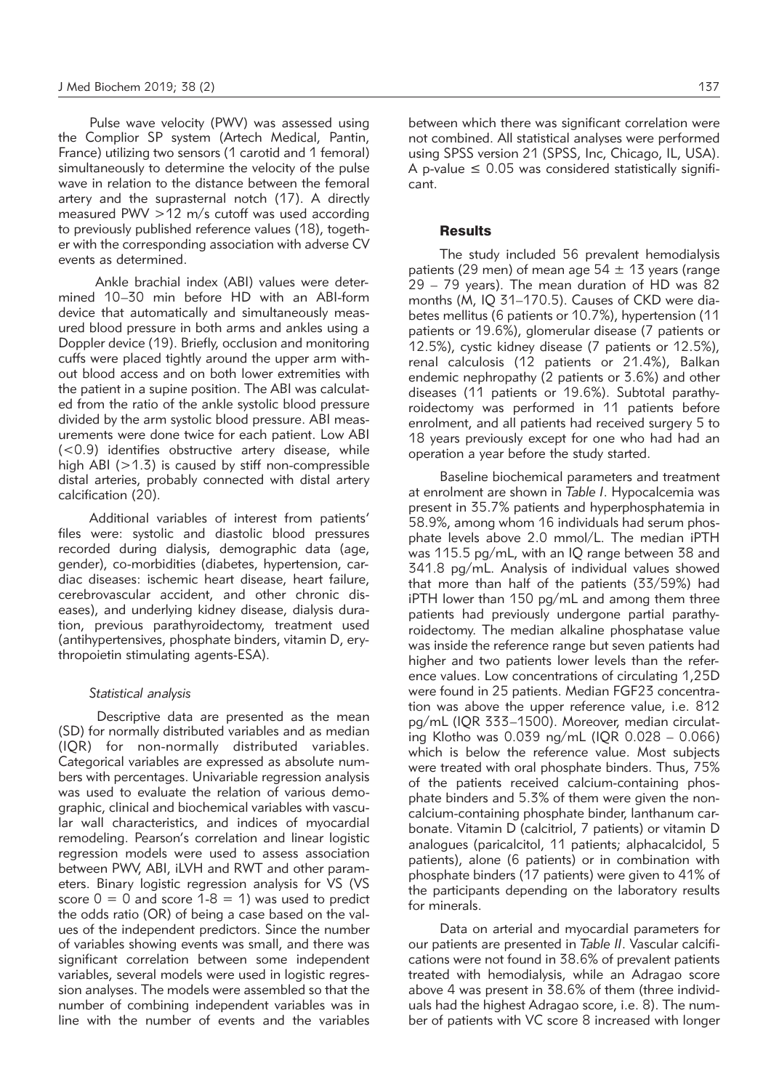Pulse wave velocity (PWV) was assessed using the Complior SP system (Artech Medical, Pantin, France) utilizing two sensors (1 carotid and 1 femoral) simultaneously to determine the velocity of the pulse wave in relation to the distance between the femoral artery and the suprasternal notch (17). A directly measured PWV >12 m/s cutoff was used according to previously published reference values (18), together with the corresponding association with adverse CV events as determined.

Ankle brachial index (ABI) values were determined 10–30 min before HD with an ABI-form device that automatically and simultaneously measured blood pressure in both arms and ankles using a Doppler device (19). Briefly, occlusion and monitoring cuffs were placed tightly around the upper arm without blood access and on both lower extremities with the patient in a supine position. The ABI was calculated from the ratio of the ankle systolic blood pressure divided by the arm systolic blood pressure. ABI measurements were done twice for each patient. Low ABI (<0.9) identifies obstructive artery disease, while high ABI ( $>1.3$ ) is caused by stiff non-compressible distal arteries, probably connected with distal artery calcification (20).

Additional variables of interest from patients' files were: systolic and diastolic blood pressures recorded during dialysis, demographic data (age, gender), co-morbidities (diabetes, hypertension, cardiac diseases: ischemic heart disease, heart failure, cerebrovascular accident, and other chronic diseases), and underlying kidney disease, dialysis duration, previous parathyroidectomy, treatment used (antihypertensives, phosphate binders, vitamin D, erythropoietin stimulating agents-ESA).

#### *Statistical analysis*

Descriptive data are presented as the mean (SD) for normally distributed variables and as median (IQR) for non-normally distributed variables. Categorical variables are expressed as absolute numbers with percentages. Univariable regression analysis was used to evaluate the relation of various demographic, clinical and biochemical variables with vascular wall characteristics, and indices of myocardial remodeling. Pearson's correlation and linear logistic regression models were used to assess association between PWV, ABI, iLVH and RWT and other parameters. Binary logistic regression analysis for VS (VS score  $0 = 0$  and score  $1-8 = 1$ ) was used to predict the odds ratio (OR) of being a case based on the values of the independent predictors. Since the number of variables showing events was small, and there was significant correlation between some independent variables, several models were used in logistic regression analyses. The models were assembled so that the number of combining independent variables was in line with the number of events and the variables between which there was significant correlation were not combined. All statistical analyses were performed using SPSS version 21 (SPSS, Inc, Chicago, IL, USA). A p-value  $\leq$  0.05 was considered statistically significant.

## **Results**

The study included 56 prevalent hemodialysis patients (29 men) of mean age  $54 \pm 13$  years (range 29 – 79 years). The mean duration of HD was 82 months (M, IQ 31–170.5). Causes of CKD were diabetes mellitus (6 patients or 10.7%), hypertension (11 patients or 19.6%), glomerular disease (7 patients or 12.5%), cystic kidney disease (7 patients or 12.5%), renal calculosis (12 patients or 21.4%), Balkan endemic nephropathy (2 patients or 3.6%) and other diseases (11 patients or 19.6%). Subtotal parathyroidectomy was performed in 11 patients before enrolment, and all patients had received surgery 5 to 18 years previously except for one who had had an operation a year before the study started.

Baseline biochemical parameters and treatment at enrolment are shown in *Table I*. Hypocalcemia was present in 35.7% patients and hyperphosphatemia in 58.9%, among whom 16 individuals had serum phosphate levels above 2.0 mmol/L. The median iPTH was 115.5 pg/mL, with an IQ range between 38 and 341.8 pg/mL. Analysis of individual values showed that more than half of the patients (33/59%) had iPTH lower than 150 pg/mL and among them three patients had previously undergone partial parathyroidectomy. The median alkaline phosphatase value was inside the reference range but seven patients had higher and two patients lower levels than the reference values. Low concentrations of circulating 1,25D were found in 25 patients. Median FGF23 concentration was above the upper reference value, i.e. 812 pg/mL (IQR 333–1500). Moreover, median circulating Klotho was 0.039 ng/mL (IQR 0.028 – 0.066) which is below the reference value. Most subjects were treated with oral phosphate binders. Thus, 75% of the patients received calcium-containing phosphate binders and 5.3% of them were given the noncalcium-containing phosphate binder, lanthanum carbonate. Vitamin D (calcitriol, 7 patients) or vitamin D analogues (paricalcitol, 11 patients; alphacalcidol, 5 patients), alone (6 patients) or in combination with phosphate binders (17 patients) were given to 41% of the participants depending on the laboratory results for minerals.

Data on arterial and myocardial parameters for our patients are presented in *Table II*. Vascular calcifications were not found in 38.6% of prevalent patients treated with hemodialysis, while an Adragao score above 4 was present in 38.6% of them (three individuals had the highest Adragao score, i.e. 8). The number of patients with VC score 8 increased with longer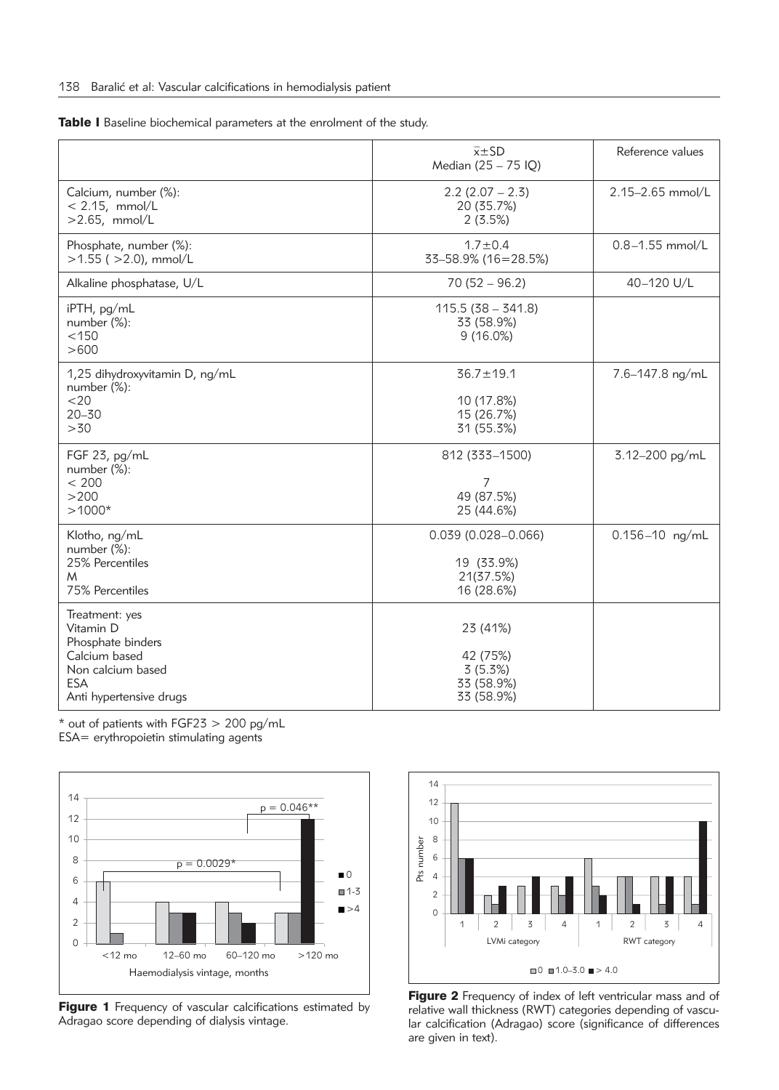Table I Baseline biochemical parameters at the enrolment of the study.

|                                                                                                                                 | $\overline{x} \pm S$ D<br>Median (25 - 75 IQ)                   | Reference values    |
|---------------------------------------------------------------------------------------------------------------------------------|-----------------------------------------------------------------|---------------------|
| Calcium, number (%):<br>$< 2.15$ , mmol/L<br>$>2.65$ , mmol/L                                                                   | $2.2$ (2.07 – 2.3)<br>20 (35.7%)<br>2(3.5%)                     | 2.15-2.65 mmol/L    |
| Phosphate, number (%):<br>$>1.55$ ( $>2.0$ ), mmol/L                                                                            | $1.7 \pm 0.4$<br>33-58.9% (16=28.5%)                            | $0.8 - 1.55$ mmol/L |
| Alkaline phosphatase, U/L                                                                                                       | $70(52 - 96.2)$                                                 | 40-120 U/L          |
| iPTH, pg/mL<br>number $(\%)$ :<br>< 150<br>>600                                                                                 | $115.5(38 - 341.8)$<br>33 (58.9%)<br>$9(16.0\%)$                |                     |
| 1,25 dihydroxyvitamin D, ng/mL<br>number (%):<br>$<$ 20<br>$20 - 30$<br>>30                                                     | $36.7 \pm 19.1$<br>10 (17.8%)<br>15 (26.7%)<br>31 (55.3%)       | 7.6-147.8 ng/mL     |
| FGF 23, pg/mL<br>number $(\%)$ :<br>< 200<br>>200<br>$>1000*$                                                                   | 812 (333-1500)<br>7<br>49 (87.5%)<br>25 (44.6%)                 | 3.12-200 pg/mL      |
| Klotho, ng/mL<br>number (%):<br>25% Percentiles<br>M<br>75% Percentiles                                                         | $0.039(0.028 - 0.066)$<br>19 (33.9%)<br>21(37.5%)<br>16 (28.6%) | $0.156 - 10$ ng/mL  |
| Treatment: yes<br>Vitamin D<br>Phosphate binders<br>Calcium based<br>Non calcium based<br><b>ESA</b><br>Anti hypertensive drugs | 23 (41%)<br>42 (75%)<br>3(5.3%)<br>33 (58.9%)<br>33 (58.9%)     |                     |

\* out of patients with FGF23 > 200 pg/mL

ESA= erythropoietin stimulating agents



Figure 1 Frequency of vascular calcifications estimated by Adragao score depending of dialysis vintage.



Figure 2 Frequency of index of left ventricular mass and of relative wall thickness (RWT) categories depending of vascular calcification (Adragao) score (significance of differences are given in text).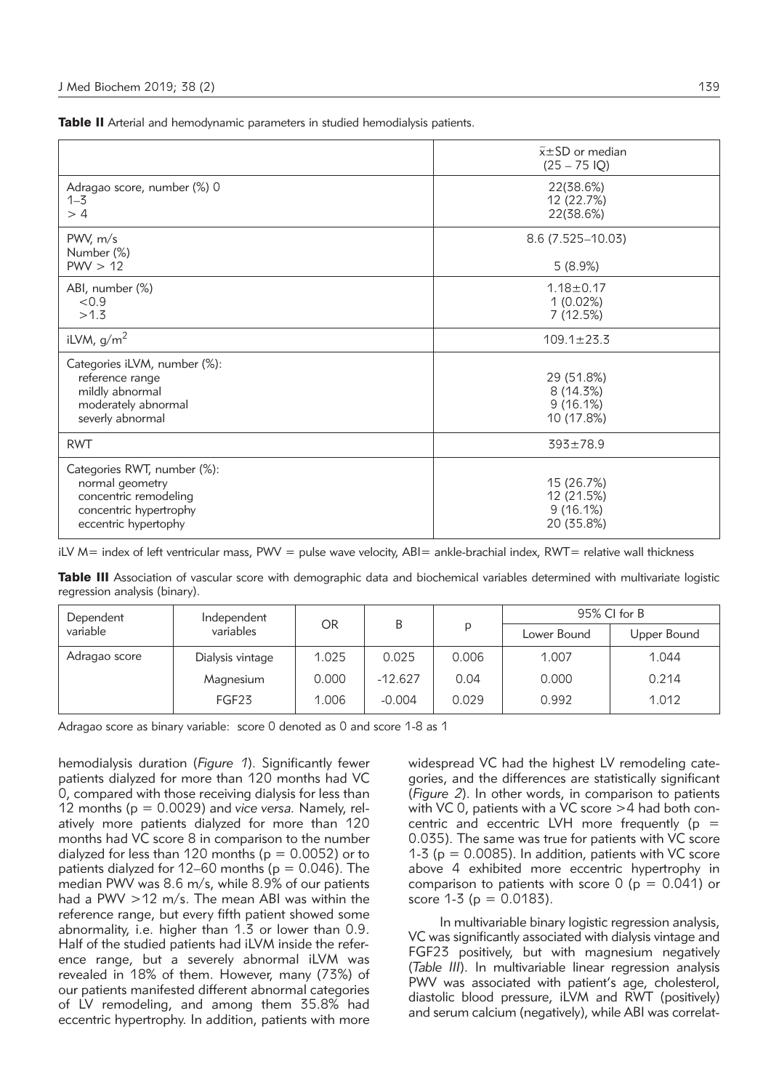Table II Arterial and hemodynamic parameters in studied hemodialysis patients.

|                                                                                                                           | $\bar{x}$ ±SD or median<br>$(25 - 75$ IQ)             |
|---------------------------------------------------------------------------------------------------------------------------|-------------------------------------------------------|
| Adragao score, number (%) 0<br>$1 - 3$<br>>4                                                                              | 22(38.6%)<br>12 (22.7%)<br>22(38.6%)                  |
| PWV, m/s<br>Number (%)<br>PWV > 12                                                                                        | 8.6 (7.525-10.03)<br>5(8.9%)                          |
| ABI, number (%)<br>< 0.9<br>>1.3                                                                                          | $1.18 \pm 0.17$<br>1(0.02%)<br>7(12.5%)               |
| iLVM, $g/m2$                                                                                                              | $109.1 \pm 23.3$                                      |
| Categories iLVM, number (%):<br>reference range<br>mildly abnormal<br>moderately abnormal<br>severly abnormal             | 29 (51.8%)<br>8(14.3%)<br>9(16.1%)<br>10 (17.8%)      |
| <b>RWT</b>                                                                                                                | $393 \pm 78.9$                                        |
| Categories RWT, number (%):<br>normal geometry<br>concentric remodeling<br>concentric hypertrophy<br>eccentric hypertophy | 15 (26.7%)<br>12 (21.5%)<br>$9(16.1\%)$<br>20 (35.8%) |

iLV M= index of left ventricular mass, PWV = pulse wave velocity, ABI= ankle-brachial index, RWT= relative wall thickness

Table III Association of vascular score with demographic data and biochemical variables determined with multivariate logistic regression analysis (binary).

| Dependent<br>variable | Independent<br>variables | <b>OR</b> | B         | D     | 95% CI for B |             |
|-----------------------|--------------------------|-----------|-----------|-------|--------------|-------------|
|                       |                          |           |           |       | Lower Bound  | Upper Bound |
| Adragao score         | Dialysis vintage         | 1.025     | 0.025     | 0.006 | 1.007        | 1.044       |
|                       | Magnesium                | 0.000     | $-12.627$ | 0.04  | 0.000        | 0.214       |
|                       | FGF23                    | 1.006     | $-0.004$  | 0.029 | 0.992        | 1.012       |

Adragao score as binary variable: score 0 denoted as 0 and score 1-8 as 1

hemodialysis duration (*Figure 1*). Significantly fewer patients dialyzed for more than 120 months had VC 0, compared with those receiving dialysis for less than 12 months (p = 0.0029) and *vice versa.* Namely, relatively more patients dialyzed for more than 120 months had VC score 8 in comparison to the number dialyzed for less than 120 months ( $p = 0.0052$ ) or to patients dialyzed for 12–60 months ( $p = 0.046$ ). The median PWV was 8.6 m/s, while 8.9% of our patients had a PWV >12 m/s. The mean ABI was within the reference range, but every fifth patient showed some abnormality, i.e. higher than 1.3 or lower than 0.9. Half of the studied patients had iLVM inside the reference range, but a severely abnormal iLVM was revealed in 18% of them. However, many (73%) of our patients manifested different abnormal categories of LV remodeling, and among them 35.8% had eccentric hypertrophy. In addition, patients with more widespread VC had the highest LV remodeling categories, and the differences are statistically significant (*Figure 2*). In other words, in comparison to patients with VC 0, patients with a VC score >4 had both concentric and eccentric LVH more frequently ( $p =$ 0.035). The same was true for patients with VC score 1-3 ( $p = 0.0085$ ). In addition, patients with VC score above 4 exhibited more eccentric hypertrophy in comparison to patients with score  $0$  ( $p = 0.041$ ) or score  $1-3$  ( $p = 0.0183$ ).

In multivariable binary logistic regression analysis, VC was significantly associated with dialysis vintage and FGF23 positively, but with magnesium negatively (*Table III*). In multivariable linear regression analysis PWV was associated with patient's age, cholesterol, diastolic blood pressure, iLVM and RWT (positively) and serum calcium (negatively), while ABI was correlat-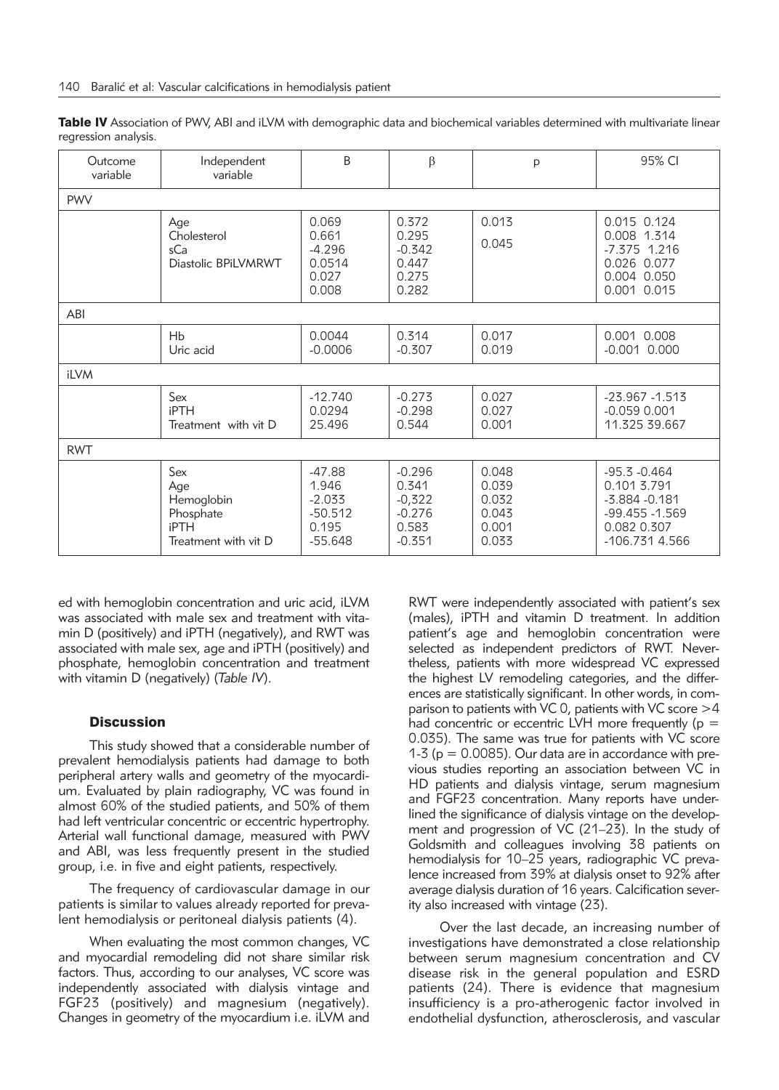| Table IV Association of PWV, ABI and iLVM with demographic data and biochemical variables determined with multivariate linear |  |  |
|-------------------------------------------------------------------------------------------------------------------------------|--|--|
| regression analysis.                                                                                                          |  |  |

| Outcome<br>variable | Independent<br>variable                                                      | <sub>B</sub>                                                     | $\beta$                                                        | p                                                  | 95% CI                                                                                                |  |
|---------------------|------------------------------------------------------------------------------|------------------------------------------------------------------|----------------------------------------------------------------|----------------------------------------------------|-------------------------------------------------------------------------------------------------------|--|
| <b>PWV</b>          |                                                                              |                                                                  |                                                                |                                                    |                                                                                                       |  |
|                     | Age<br>Cholesterol<br>sCa<br>Diastolic BPiLVMRWT                             | 0.069<br>0.661<br>$-4.296$<br>0.0514<br>0.027<br>0.008           | 0.372<br>0.295<br>$-0.342$<br>0.447<br>0.275<br>0.282          | 0.013<br>0.045                                     | 0.015 0.124<br>0.008 1.314<br>$-7.375$ 1.216<br>0.026 0.077<br>0.004 0.050<br>0.001 0.015             |  |
| ABI                 |                                                                              |                                                                  |                                                                |                                                    |                                                                                                       |  |
|                     | Hb<br>Uric acid                                                              | 0.0044<br>$-0.0006$                                              | 0.314<br>$-0.307$                                              | 0.017<br>0.019                                     | 0.001 0.008<br>$-0.001$ $0.000$                                                                       |  |
| iLVM                |                                                                              |                                                                  |                                                                |                                                    |                                                                                                       |  |
|                     | Sex<br><b>iPTH</b><br>Treatment with vit D                                   | $-12.740$<br>0.0294<br>25.496                                    | $-0.273$<br>$-0.298$<br>0.544                                  | 0.027<br>0.027<br>0.001                            | $-23.967 - 1.513$<br>$-0.059$ $0.001$<br>11.325 39.667                                                |  |
| <b>RWT</b>          |                                                                              |                                                                  |                                                                |                                                    |                                                                                                       |  |
|                     | Sex<br>Age<br>Hemoglobin<br>Phosphate<br><b>iPTH</b><br>Treatment with vit D | $-47.88$<br>1.946<br>$-2.033$<br>$-50.512$<br>0.195<br>$-55.648$ | $-0.296$<br>0.341<br>$-0,322$<br>$-0.276$<br>0.583<br>$-0.351$ | 0.048<br>0.039<br>0.032<br>0.043<br>0.001<br>0.033 | $-95.3 - 0.464$<br>0.101 3.791<br>$-5.884 - 0.181$<br>-99.455 -1.569<br>0.082 0.307<br>-106.731 4.566 |  |

ed with hemoglobin concentration and uric acid, iLVM was associated with male sex and treatment with vitamin D (positively) and iPTH (negatively), and RWT was associated with male sex, age and iPTH (positively) and phosphate, hemoglobin concentration and treatment with vitamin D (negatively) (*Table IV*).

#### **Discussion**

This study showed that a considerable number of prevalent hemodialysis patients had damage to both peripheral artery walls and geometry of the myocardium. Evaluated by plain radiography, VC was found in almost 60% of the studied patients, and 50% of them had left ventricular concentric or eccentric hypertrophy. Arterial wall functional damage, measured with PWV and ABI, was less frequently present in the studied group, i.e. in five and eight patients, respectively.

The frequency of cardiovascular damage in our patients is similar to values already reported for prevalent hemodialysis or peritoneal dialysis patients (4).

When evaluating the most common changes, VC and myocardial remodeling did not share similar risk factors. Thus, according to our analyses, VC score was independently associated with dialysis vintage and FGF23 (positively) and magnesium (negatively). Changes in geometry of the myocardium i.e. iLVM and RWT were independently associated with patient's sex (males), iPTH and vitamin D treatment. In addition patient's age and hemoglobin concentration were selected as independent predictors of RWT. Nevertheless, patients with more widespread VC expressed the highest LV remodeling categories, and the differences are statistically significant. In other words, in comparison to patients with VC 0, patients with VC score  $>4$ had concentric or eccentric LVH more frequently ( $p =$ 0.035). The same was true for patients with VC score 1-3 ( $p = 0.0085$ ). Our data are in accordance with previous studies reporting an association between VC in HD patients and dialysis vintage, serum magnesium and FGF23 concentration. Many reports have underlined the significance of dialysis vintage on the development and progression of VC (21–23). In the study of Goldsmith and colleagues involving 38 patients on hemodialysis for 10–25 years, radiographic VC prevalence increased from 39% at dialysis onset to 92% after average dialysis duration of 16 years. Calcification severity also increased with vintage (23).

Over the last decade, an increasing number of investigations have demonstrated a close relationship between serum magnesium concentration and CV disease risk in the general population and ESRD patients (24). There is evidence that magnesium insufficiency is a pro-atherogenic factor involved in endothelial dysfunction, atherosclerosis, and vascular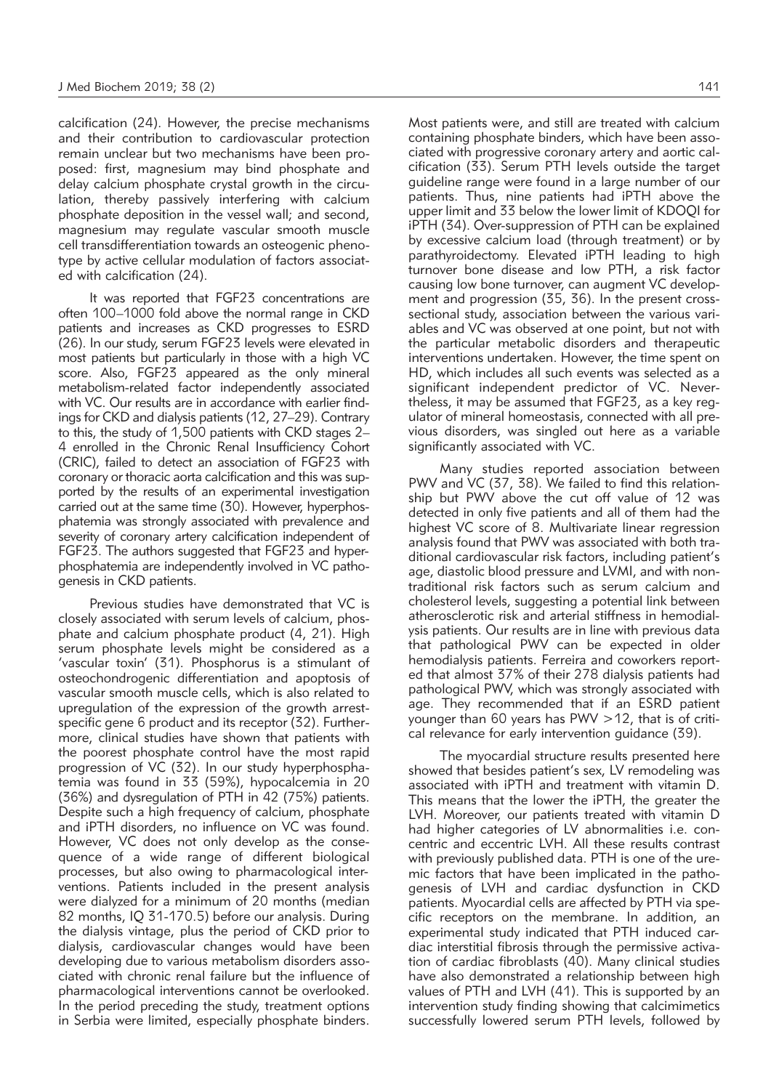calcification (24). However, the precise mechanisms and their contribution to cardiovascular protection remain unclear but two mechanisms have been proposed: first, magnesium may bind phosphate and delay calcium phosphate crystal growth in the circulation, thereby passively interfering with calcium phosphate deposition in the vessel wall; and second, magnesium may regulate vascular smooth muscle cell transdifferentiation towards an osteogenic phenotype by active cellular modulation of factors associated with calcification (24).

It was reported that FGF23 concentrations are often 100–1000 fold above the normal range in CKD patients and increases as CKD progresses to ESRD (26). In our study, serum FGF23 levels were elevated in most patients but particularly in those with a high VC score. Also, FGF23 appeared as the only mineral metabolism-related factor independently associated with VC. Our results are in accordance with earlier findings for CKD and dialysis patients (12, 27–29). Contrary to this, the study of 1,500 patients with CKD stages 2– 4 enrolled in the Chronic Renal Insufficiency Cohort (CRIC), failed to detect an association of FGF23 with coronary or thoracic aorta calcification and this was supported by the results of an experimental investigation carried out at the same time (30). However, hyperphosphatemia was strongly associated with prevalence and severity of coronary artery calcification independent of FGF23. The authors suggested that FGF23 and hyperphosphatemia are independently involved in VC pathogenesis in CKD patients.

Previous studies have demonstrated that VC is closely associated with serum levels of calcium, phosphate and calcium phosphate product (4, 21). High serum phosphate levels might be considered as a 'vascular toxin' (31). Phosphorus is a stimulant of osteochondrogenic differentiation and apoptosis of vascular smooth muscle cells, which is also related to upregulation of the expression of the growth arrestspecific gene 6 product and its receptor (32). Furthermore, clinical studies have shown that patients with the poorest phosphate control have the most rapid progression of VC (32). In our study hyperphosphatemia was found in 33 (59%), hypocalcemia in 20 (36%) and dysregulation of PTH in 42 (75%) patients. Despite such a high frequency of calcium, phosphate and iPTH disorders, no influence on VC was found. However, VC does not only develop as the consequence of a wide range of different biological processes, but also owing to pharmacological interventions. Patients included in the present analysis were dialyzed for a minimum of 20 months (median 82 months, IQ 31-170.5) before our analysis. During the dialysis vintage, plus the period of CKD prior to dialysis, cardiovascular changes would have been developing due to various metabolism disorders associated with chronic renal failure but the influence of pharmacological interventions cannot be overlooked. In the period preceding the study, treatment options in Serbia were limited, especially phosphate binders.

Most patients were, and still are treated with calcium containing phosphate binders, which have been associated with progressive coronary artery and aortic calcification (33). Serum PTH levels outside the target guideline range were found in a large number of our patients. Thus, nine patients had iPTH above the upper limit and 33 below the lower limit of KDOQI for iPTH (34). Over-suppression of PTH can be explained by excessive calcium load (through treatment) or by parathyroidectomy. Elevated iPTH leading to high turnover bone disease and low PTH, a risk factor causing low bone turnover, can augment VC development and progression (35, 36). In the present crosssectional study, association between the various variables and VC was observed at one point, but not with the particular metabolic disorders and therapeutic interventions undertaken. However, the time spent on HD, which includes all such events was selected as a significant independent predictor of VC. Nevertheless, it may be assumed that FGF23, as a key regulator of mineral homeostasis, connected with all previous disorders, was singled out here as a variable significantly associated with VC.

Many studies reported association between PWV and VC (37, 38). We failed to find this relationship but PWV above the cut off value of 12 was detected in only five patients and all of them had the highest VC score of 8. Multivariate linear regression analysis found that PWV was associated with both traditional cardiovascular risk factors, including patient's age, diastolic blood pressure and LVMI, and with nontraditional risk factors such as serum calcium and cholesterol levels, suggesting a potential link between atherosclerotic risk and arterial stiffness in hemodialysis patients. Our results are in line with previous data that pathological PWV can be expected in older hemodialysis patients. Ferreira and coworkers reported that almost 37% of their 278 dialysis patients had pathological PWV, which was strongly associated with age. They recommended that if an ESRD patient younger than 60 years has PWV >12, that is of critical relevance for early intervention guidance (39).

The myocardial structure results presented here showed that besides patient's sex, LV remodeling was associated with iPTH and treatment with vitamin D. This means that the lower the iPTH, the greater the LVH. Moreover, our patients treated with vitamin D had higher categories of LV abnormalities i.e. concentric and eccentric LVH. All these results contrast with previously published data. PTH is one of the uremic factors that have been implicated in the pathogenesis of LVH and cardiac dysfunction in CKD patients. Myocardial cells are affected by PTH via specific receptors on the membrane. In addition, an experimental study indicated that PTH induced cardiac interstitial fibrosis through the permissive activation of cardiac fibroblasts (40). Many clinical studies have also demonstrated a relationship between high values of PTH and LVH (41). This is supported by an intervention study finding showing that calcimimetics successfully lowered serum PTH levels, followed by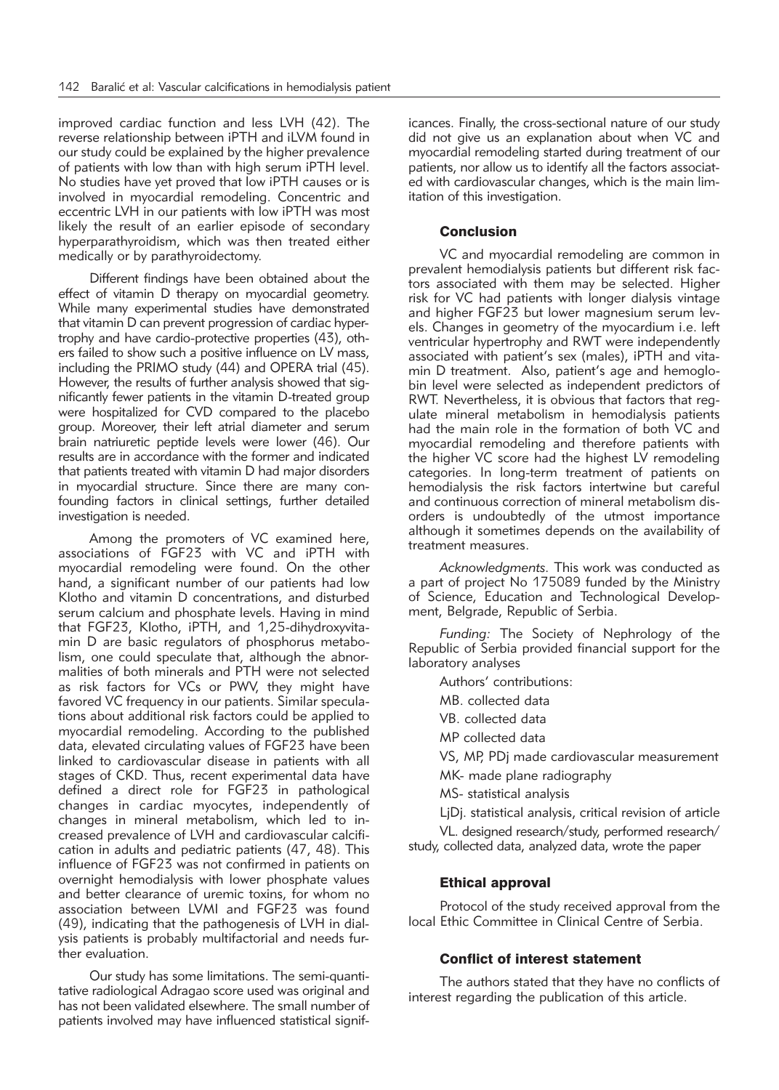improved cardiac function and less LVH (42). The reverse relationship between iPTH and iLVM found in our study could be explained by the higher prevalence of patients with low than with high serum iPTH level. No studies have yet proved that low iPTH causes or is involved in myocardial remodeling. Concentric and eccentric LVH in our patients with low iPTH was most likely the result of an earlier episode of secondary hyperparathyroidism, which was then treated either medically or by parathyroidectomy.

Different findings have been obtained about the effect of vitamin D therapy on myocardial geometry. While many experimental studies have demonstrated that vitamin D can prevent progression of cardiac hypertrophy and have cardio-protective properties (43), others failed to show such a positive influence on LV mass, including the PRIMO study (44) and OPERA trial (45). However, the results of further analysis showed that significantly fewer patients in the vitamin D-treated group were hospitalized for CVD compared to the placebo group. Moreover, their left atrial diameter and serum brain natriuretic peptide levels were lower (46). Our results are in accordance with the former and indicated that patients treated with vitamin D had major disorders in myocardial structure. Since there are many confounding factors in clinical settings, further detailed investigation is needed.

Among the promoters of VC examined here, associations of FGF23 with VC and iPTH with myocardial remodeling were found. On the other hand, a significant number of our patients had low Klotho and vitamin D concentrations, and disturbed serum calcium and phosphate levels. Having in mind that FGF23, Klotho, iPTH, and 1,25-dihydroxyvitamin D are basic regulators of phosphorus metabolism, one could speculate that, although the abnormalities of both minerals and PTH were not selected as risk factors for VCs or PWV, they might have favored VC frequency in our patients. Similar speculations about additional risk factors could be applied to myocardial remodeling. According to the published data, elevated circulating values of FGF23 have been linked to cardiovascular disease in patients with all stages of CKD. Thus, recent experimental data have defined a direct role for FGF23 in pathological changes in cardiac myocytes, independently of changes in mineral metabolism, which led to increased prevalence of LVH and cardiovascular calcification in adults and pediatric patients (47, 48). This influence of FGF23 was not confirmed in patients on overnight hemodialysis with lower phosphate values and better clearance of uremic toxins, for whom no association between LVMI and FGF23 was found (49), indicating that the pathogenesis of LVH in dialysis patients is probably multifactorial and needs further evaluation.

Our study has some limitations. The semi-quantitative radiological Adragao score used was original and has not been validated elsewhere. The small number of patients involved may have influenced statistical significances. Finally, the cross-sectional nature of our study did not give us an explanation about when VC and myocardial remodeling started during treatment of our patients, nor allow us to identify all the factors associated with cardiovascular changes, which is the main limitation of this investigation.

## **Conclusion**

VC and myocardial remodeling are common in prevalent hemodialysis patients but different risk factors associated with them may be selected. Higher risk for VC had patients with longer dialysis vintage and higher FGF23 but lower magnesium serum levels. Changes in geometry of the myocardium i.e. left ventricular hypertrophy and RWT were independently associated with patient's sex (males), iPTH and vitamin D treatment. Also, patient's age and hemoglobin level were selected as independent predictors of RWT. Nevertheless, it is obvious that factors that regulate mineral metabolism in hemodialysis patients had the main role in the formation of both VC and myocardial remodeling and therefore patients with the higher VC score had the highest LV remodeling categories. In long-term treatment of patients on hemodialysis the risk factors intertwine but careful and continuous correction of mineral metabolism disorders is undoubtedly of the utmost importance although it sometimes depends on the availability of treatment measures.

*Acknowledgments.* This work was conducted as a part of project No 175089 funded by the Ministry of Science, Education and Technological Development, Belgrade, Republic of Serbia.

*Funding:* The Society of Nephrology of the Republic of Serbia provided financial support for the laboratory analyses

Authors' contributions:

MB. collected data

VB. collected data

MP collected data

VS, MP, PDj made cardiovascular measurement

MK- made plane radiography

MS- statistical analysis

LjDj. statistical analysis, critical revision of article

VL. designed research/study, performed research/ study, collected data, analyzed data, wrote the paper

# Ethical approval

Protocol of the study received approval from the local Ethic Committee in Clinical Centre of Serbia.

# Conflict of interest statement

The authors stated that they have no conflicts of interest regarding the publication of this article.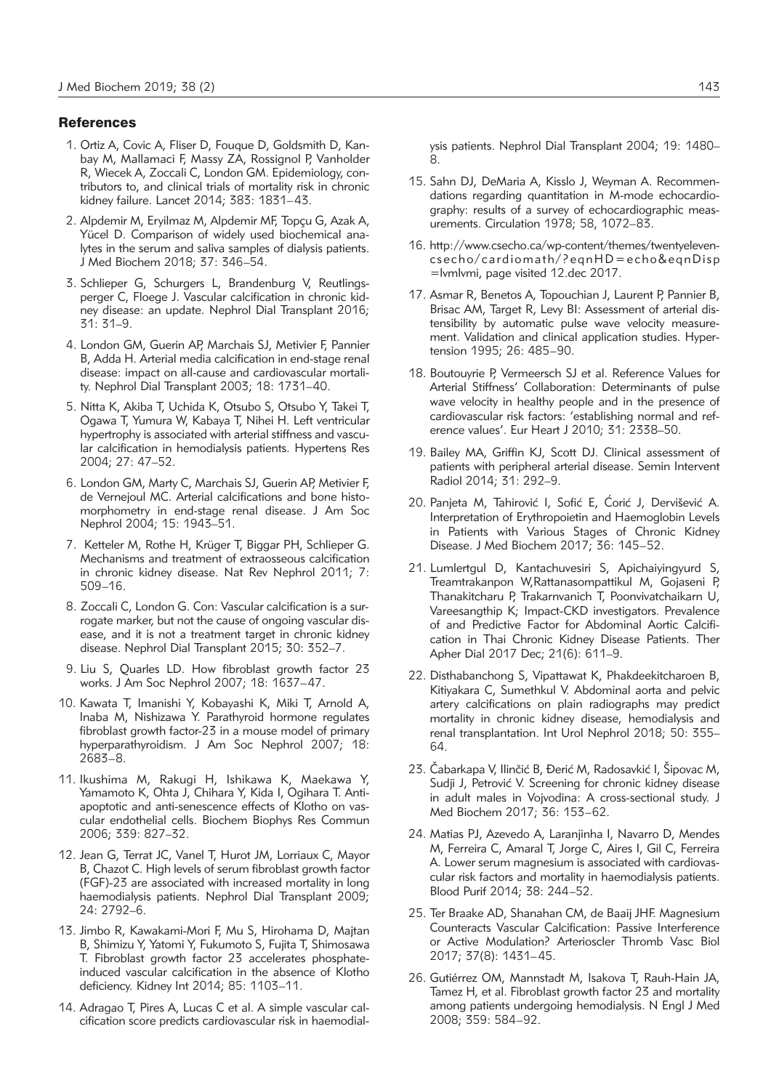### **References**

- 1. Ortiz A, Covic A, Fliser D, Fouque D, Goldsmith D, Kanbay M, Mallamaci F, Massy ZA, Rossignol P, Vanholder R, Wiecek A, Zoccali C, London GM. Epidemiology, contributors to, and clinical trials of mortality risk in chronic kidney failure. Lancet 2014; 383: 1831–43.
- 2. Alpdemir M, Eryilmaz M, Alpdemir MF, Topçu G, Azak A, Yücel D. Comparison of widely used biochemical analytes in the serum and saliva samples of dialysis patients. J Med Biochem 2018; 37: 346–54.
- 3. Schlieper G, Schurgers L, Brandenburg V, Reutlingsperger C, Floege J. Vascular calcification in chronic kidney disease: an update. Nephrol Dial Transplant 2016; 31: 31–9.
- 4. London GM, Guerin AP, Marchais SJ, Metivier F, Pannier B, Adda H. Arterial media calcification in end-stage renal disease: impact on all-cause and cardiovascular mortality. Nephrol Dial Transplant 2003; 18: 1731–40.
- 5. Nitta K, Akiba T, Uchida K, Otsubo S, Otsubo Y, Takei T, Ogawa T, Yumura W, Kabaya T, Nihei H. Left ventricular hypertrophy is associated with arterial stiffness and vascular calcification in hemodialysis patients. Hypertens Res 2004; 27: 47–52.
- 6. London GM, Marty C, Marchais SJ, Guerin AP, Metivier F, de Vernejoul MC. Arterial calcifications and bone histomorphometry in end-stage renal disease. J Am Soc Nephrol 2004; 15: 1943–51.
- 7. Ketteler M, Rothe H, Krüger T, Biggar PH, Schlieper G. Mechanisms and treatment of extraosseous calcification in chronic kidney disease. Nat Rev Nephrol 2011; 7: 509–16.
- 8. Zoccali C, London G. Con: Vascular calcification is a surrogate marker, but not the cause of ongoing vascular disease, and it is not a treatment target in chronic kidney disease. Nephrol Dial Transplant 2015; 30: 352–7.
- 9. Liu S, Quarles LD. How fibroblast growth factor 23 works. J Am Soc Nephrol 2007; 18: 1637–47.
- 10. Kawata T, Imanishi Y, Kobayashi K, Miki T, Arnold A, Inaba M, Nishizawa Y. Parathyroid hormone regulates fibroblast growth factor-23 in a mouse model of primary hyperparathyroidism. J Am Soc Nephrol 2007; 18: 2683–8.
- 11. Ikushima M, Rakugi H, Ishikawa K, Maekawa Y, Yamamoto K, Ohta J, Chihara Y, Kida I, Ogihara T. Antiapoptotic and anti-senescence effects of Klotho on vascular endothelial cells. Biochem Biophys Res Commun 2006; 339: 827–32.
- 12. Jean G, Terrat JC, Vanel T, Hurot JM, Lorriaux C, Mayor B, Chazot C. High levels of serum fibroblast growth factor (FGF)-23 are associated with increased mortality in long haemodialysis patients. Nephrol Dial Transplant 2009; 24: 2792–6.
- 13. Jimbo R, Kawakami-Mori F, Mu S, Hirohama D, Majtan B, Shimizu Y, Yatomi Y, Fukumoto S, Fujita T, Shimosawa T. Fibroblast growth factor 23 accelerates phosphateinduced vascular calcification in the absence of Klotho deficiency. Kidney Int 2014; 85: 1103–11.
- 14. Adragao T, Pires A, Lucas C et al. A simple vascular calcification score predicts cardiovascular risk in haemodial-

ysis patients. Nephrol Dial Transplant 2004; 19: 1480–  $\alpha$ 

- 15. Sahn DJ, DeMaria A, Kisslo J, Weyman A. Recommendations regarding quantitation in M-mode echocardiography: results of a survey of echocardiographic measurements. Circulation 1978; 58, 1072–83.
- 16. http://www.csecho.ca/wp-content/themes/twentyelevencsecho/cardiomath/?eqnHD=echo&eqnDisp =lvmlvmi, page visited 12.dec 2017.
- 17. Asmar R, Benetos A, Topouchian J, Laurent P, Pannier B, Brisac AM, Target R, Levy BI: Assessment of arterial distensibility by automatic pulse wave velocity measurement. Validation and clinical application studies. Hypertension 1995; 26: 485–90.
- 18. Boutouyrie P, Vermeersch SJ et al. Reference Values for Arterial Stiffness' Collaboration: Determinants of pulse wave velocity in healthy people and in the presence of cardiovascular risk factors: 'establishing normal and reference values'. Eur Heart J 2010; 31: 2338–50.
- 19. Bailey MA, Griffin KJ, Scott DJ. Clinical assessment of patients with peripheral arterial disease. Semin Intervent Radiol 2014; 31: 292–9.
- 20. Panjeta M, Tahirović I, Sofić E, Ćorić J, Dervišević A. Interpretation of Erythropoietin and Haemoglobin Levels in Patients with Various Stages of Chronic Kidney Disease. J Med Biochem 2017; 36: 145–52.
- 21. Lumlertgul D, Kantachuvesiri S, Apichaiyingyurd S, Tream trakanpon W,Rattanasompattikul M, Gojaseni P, Thanakitcharu P, Trakarnvanich T, Poonvivatchaikarn U, Vareesangthip K; Impact-CKD investigators. Prevalence of and Predictive Factor for Abdominal Aortic Calcification in Thai Chronic Kidney Disease Patients. Ther Apher Dial 2017 Dec; 21(6): 611–9.
- 22. Disthabanchong S, Vipattawat K, Phakdeekitcharoen B, Kitiyakara C, Sumethkul V. Abdominal aorta and pelvic artery calcifications on plain radiographs may predict mortality in chronic kidney disease, hemodialysis and renal transplantation. Int Urol Nephrol 2018; 50: 355– 64.
- 23. Čabarkapa V, Ilinčić B, Đerić M, Radosavkić I, Šipovac M, Sudji J, Petrović V. Screening for chronic kidney disease in adult males in Vojvodina: A cross-sectional study. J Med Biochem 2017; 36: 153–62.
- 24. Matias PJ, Azevedo A, Laranjinha I, Navarro D, Mendes M, Ferreira C, Amaral T, Jorge C, Aires I, Gil C, Ferreira A. Lower serum magnesium is associated with cardiovascular risk factors and mortality in haemodialysis patients. Blood Purif 2014; 38: 244–52.
- 25. Ter Braake AD, Shanahan CM, de Baaij JHF. Magnesium Counteracts Vascular Calcification: Passive Interference or Active Modulation? Arterioscler Thromb Vasc Biol 2017; 37(8): 1431–45.
- 26. Gutiérrez OM, Mannstadt M, Isakova T, Rauh-Hain JA, Tamez H, et al. Fibroblast growth factor 23 and mortality among patients undergoing hemodialysis. N Engl J Med 2008; 359: 584–92.